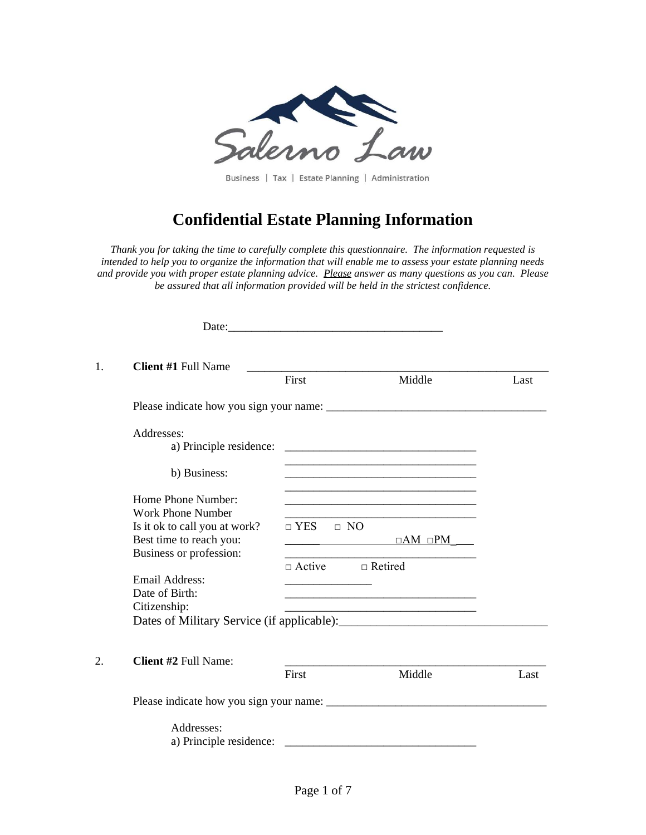

Business | Tax | Estate Planning | Administration

# **Confidential Estate Planning Information**

*Thank you for taking the time to carefully complete this questionnaire. The information requested is intended to help you to organize the information that will enable me to assess your estate planning needs and provide you with proper estate planning advice. Please answer as many questions as you can. Please be assured that all information provided will be held in the strictest confidence.*

| 1. | <b>Client #1 Full Name</b>    | <u> 1989 - Johann Harry Harry Harry Harry Harry Harry Harry Harry Harry Harry Harry Harry Harry Harry Harry Harry</u><br>First | Middle                                                                                                                                                                                                                                                                                                                                                                                                                                                                                                                                | Last |
|----|-------------------------------|--------------------------------------------------------------------------------------------------------------------------------|---------------------------------------------------------------------------------------------------------------------------------------------------------------------------------------------------------------------------------------------------------------------------------------------------------------------------------------------------------------------------------------------------------------------------------------------------------------------------------------------------------------------------------------|------|
|    |                               |                                                                                                                                |                                                                                                                                                                                                                                                                                                                                                                                                                                                                                                                                       |      |
|    |                               |                                                                                                                                |                                                                                                                                                                                                                                                                                                                                                                                                                                                                                                                                       |      |
|    | Addresses:                    |                                                                                                                                |                                                                                                                                                                                                                                                                                                                                                                                                                                                                                                                                       |      |
|    | a) Principle residence:       |                                                                                                                                |                                                                                                                                                                                                                                                                                                                                                                                                                                                                                                                                       |      |
|    | b) Business:                  |                                                                                                                                | <u> 1989 - Johann Barbara, martin amerikan basar dan berasal dalam berasal dalam basar dalam basar dalam basar da</u>                                                                                                                                                                                                                                                                                                                                                                                                                 |      |
|    | Home Phone Number:            |                                                                                                                                |                                                                                                                                                                                                                                                                                                                                                                                                                                                                                                                                       |      |
|    | <b>Work Phone Number</b>      |                                                                                                                                | <u> 1989 - Johann Stoff, Amerikaansk politiker (* 1908)</u>                                                                                                                                                                                                                                                                                                                                                                                                                                                                           |      |
|    | Is it ok to call you at work? | $\Box$ YES $\Box$ NO                                                                                                           | <u> 1989 - Johann John Stone, mars et al. (</u>                                                                                                                                                                                                                                                                                                                                                                                                                                                                                       |      |
|    | Best time to reach you:       |                                                                                                                                | $\overline{\square}$ $\overline{\square}$ $\overline{\square}$ $\overline{\square}$ $\overline{\square}$ $\overline{\square}$ $\overline{\square}$ $\overline{\square}$ $\overline{\square}$ $\overline{\square}$ $\overline{\square}$ $\overline{\square}$ $\overline{\square}$ $\overline{\square}$ $\overline{\square}$ $\overline{\square}$ $\overline{\square}$ $\overline{\square}$ $\overline{\square}$ $\overline{\square}$ $\overline{\square}$ $\overline{\square}$ $\overline{\square}$ $\overline{\square}$ $\overline{\$ |      |
|    | Business or profession:       |                                                                                                                                |                                                                                                                                                                                                                                                                                                                                                                                                                                                                                                                                       |      |
|    |                               | $\Box$ Active $\Box$ Retired                                                                                                   |                                                                                                                                                                                                                                                                                                                                                                                                                                                                                                                                       |      |
|    | Email Address:                |                                                                                                                                |                                                                                                                                                                                                                                                                                                                                                                                                                                                                                                                                       |      |
|    | Date of Birth:                |                                                                                                                                |                                                                                                                                                                                                                                                                                                                                                                                                                                                                                                                                       |      |
|    | Citizenship:                  |                                                                                                                                |                                                                                                                                                                                                                                                                                                                                                                                                                                                                                                                                       |      |
|    |                               |                                                                                                                                |                                                                                                                                                                                                                                                                                                                                                                                                                                                                                                                                       |      |
|    |                               |                                                                                                                                |                                                                                                                                                                                                                                                                                                                                                                                                                                                                                                                                       |      |
| 2. | <b>Client #2 Full Name:</b>   |                                                                                                                                |                                                                                                                                                                                                                                                                                                                                                                                                                                                                                                                                       |      |
|    |                               | First                                                                                                                          | Middle                                                                                                                                                                                                                                                                                                                                                                                                                                                                                                                                | Last |
|    |                               |                                                                                                                                |                                                                                                                                                                                                                                                                                                                                                                                                                                                                                                                                       |      |
|    | Addresses:                    |                                                                                                                                |                                                                                                                                                                                                                                                                                                                                                                                                                                                                                                                                       |      |
|    | a) Principle residence:       |                                                                                                                                |                                                                                                                                                                                                                                                                                                                                                                                                                                                                                                                                       |      |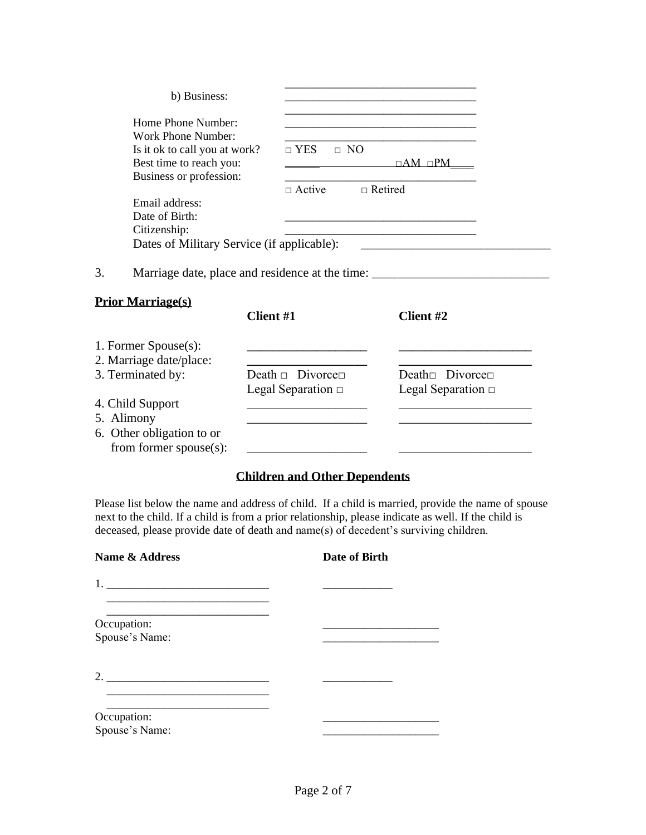| b) Business:                                    |                                            |                                                                                  |
|-------------------------------------------------|--------------------------------------------|----------------------------------------------------------------------------------|
| Home Phone Number:<br><b>Work Phone Number:</b> |                                            |                                                                                  |
| Is it ok to call you at work?                   | $\Box$ NO<br>$\Box$ YES                    |                                                                                  |
| Best time to reach you:                         |                                            | $\Box AM$ $\Box PM$                                                              |
| Business or profession:                         |                                            |                                                                                  |
|                                                 | $\Box$ Active                              | $\Box$ Retired                                                                   |
| Email address:                                  |                                            |                                                                                  |
| Date of Birth:                                  |                                            |                                                                                  |
| Citizenship:                                    |                                            |                                                                                  |
|                                                 | Dates of Military Service (if applicable): | <u> 1989 - Johann Barbara, martxa alemaniar a</u>                                |
| 3.                                              |                                            | Marriage date, place and residence at the time: ________________________________ |
| <b>Prior Marriage(s)</b>                        |                                            |                                                                                  |
|                                                 | Client #1                                  | Client #2                                                                        |
| 1. Former Spouse(s):                            |                                            |                                                                                  |
| 2. Marriage date/place:                         |                                            |                                                                                  |
| 3. Terminated by:                               | Death $\Box$ Divorce $\Box$                | Death $\Box$ Divorce $\Box$                                                      |
|                                                 | Legal Separation $\Box$                    | Legal Separation $\Box$                                                          |
| 4. Child Support                                |                                            |                                                                                  |
| 5. Alimony                                      |                                            |                                                                                  |
| 6. Other obligation to or                       |                                            |                                                                                  |
| from former $spouse(s)$ :                       |                                            |                                                                                  |

## **Children and Other Dependents**

Please list below the name and address of child. If a child is married, provide the name of spouse next to the child. If a child is from a prior relationship, please indicate as well. If the child is deceased, please provide date of death and name(s) of decedent's surviving children.

| Name & Address                | Date of Birth |
|-------------------------------|---------------|
|                               |               |
| Occupation:<br>Spouse's Name: |               |
| 2. $\qquad \qquad$            |               |
| Occupation:<br>Spouse's Name: |               |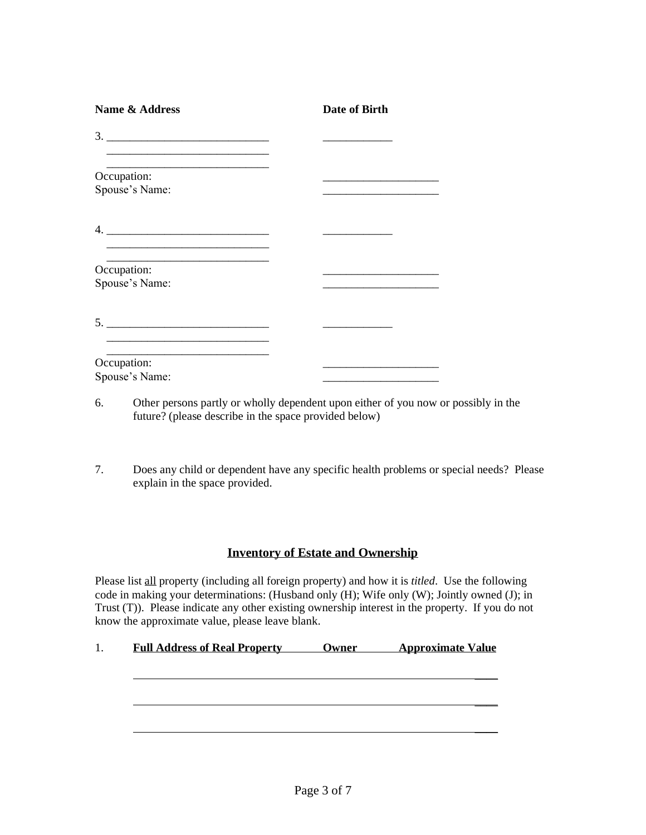| <b>Name &amp; Address</b>     | Date of Birth |
|-------------------------------|---------------|
|                               |               |
| Occupation:                   |               |
| Spouse's Name:                |               |
|                               |               |
| Occupation:<br>Spouse's Name: |               |
|                               |               |
| Occupation:                   |               |
| Spouse's Name:                |               |

- 6. Other persons partly or wholly dependent upon either of you now or possibly in the future? (please describe in the space provided below)
- 7. Does any child or dependent have any specific health problems or special needs? Please explain in the space provided.

## **Inventory of Estate and Ownership**

Please list all property (including all foreign property) and how it is *titled*. Use the following code in making your determinations: (Husband only (H); Wife only (W); Jointly owned (J); in Trust (T)). Please indicate any other existing ownership interest in the property. If you do not know the approximate value, please leave blank.

## 1. **Full Address of Real Property Owner Approximate Value**

 $\overline{\phantom{a}}$ 

\_\_\_\_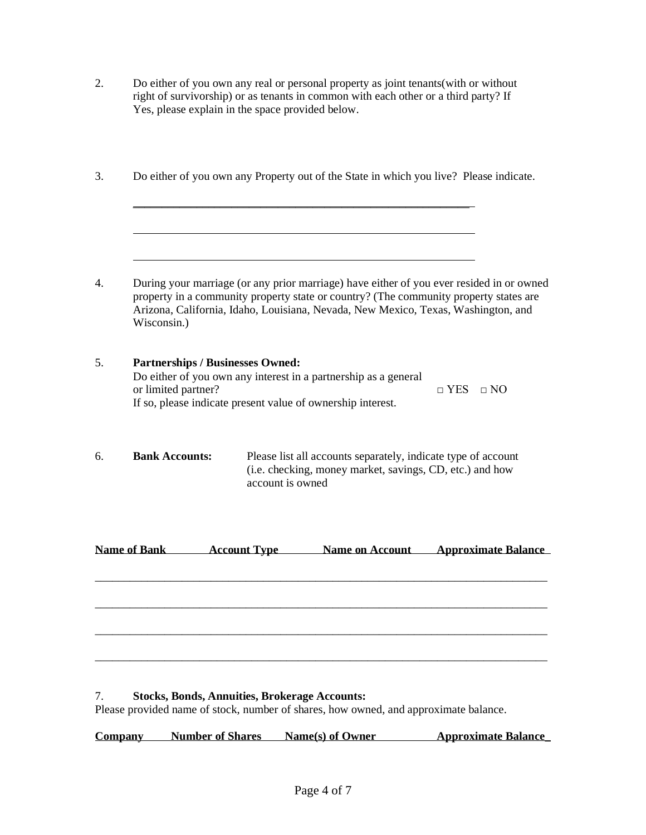- 2. Do either of you own any real or personal property as joint tenants(with or without right of survivorship) or as tenants in common with each other or a third party? If Yes, please explain in the space provided below.
- 3. Do either of you own any Property out of the State in which you live? Please indicate.

\_\_\_\_\_\_\_\_\_\_\_\_\_\_\_\_\_\_\_\_\_\_\_\_\_\_\_\_\_\_\_\_\_\_\_\_\_\_\_\_\_\_\_\_\_\_\_\_\_\_\_\_\_\_\_\_\_\_

4. During your marriage (or any prior marriage) have either of you ever resided in or owned property in a community property state or country? (The community property states are Arizona, California, Idaho, Louisiana, Nevada, New Mexico, Texas, Washington, and Wisconsin.)

l,

- 5. **Partnerships / Businesses Owned:** Do either of you own any interest in a partnership as a general or limited partner?  $\Box$  YES  $\Box$  NO If so, please indicate present value of ownership interest.
- 6. **Bank Accounts:** Please list all accounts separately, indicate type of account (i.e. checking, money market, savings, CD, etc.) and how account is owned

**Name of Bank Account Type Name on Account Approximate Balance**

\_\_\_\_\_\_\_\_\_\_\_\_\_\_\_\_\_\_\_\_\_\_\_\_\_\_\_\_\_\_\_\_\_\_\_\_\_\_\_\_\_\_\_\_\_\_\_\_\_\_\_\_\_\_\_\_\_\_\_\_\_\_\_\_\_\_\_\_\_\_\_\_\_\_\_\_\_\_

\_\_\_\_\_\_\_\_\_\_\_\_\_\_\_\_\_\_\_\_\_\_\_\_\_\_\_\_\_\_\_\_\_\_\_\_\_\_\_\_\_\_\_\_\_\_\_\_\_\_\_\_\_\_\_\_\_\_\_\_\_\_\_\_\_\_\_\_\_\_\_\_\_\_\_\_\_\_

\_\_\_\_\_\_\_\_\_\_\_\_\_\_\_\_\_\_\_\_\_\_\_\_\_\_\_\_\_\_\_\_\_\_\_\_\_\_\_\_\_\_\_\_\_\_\_\_\_\_\_\_\_\_\_\_\_\_\_\_\_\_\_\_\_\_\_\_\_\_\_\_\_\_\_\_\_\_

#### 7. **Stocks, Bonds, Annuities, Brokerage Accounts:**

Please provided name of stock, number of shares, how owned, and approximate balance.

**Company Number of Shares Name(s) of Owner Approximate Balance\_**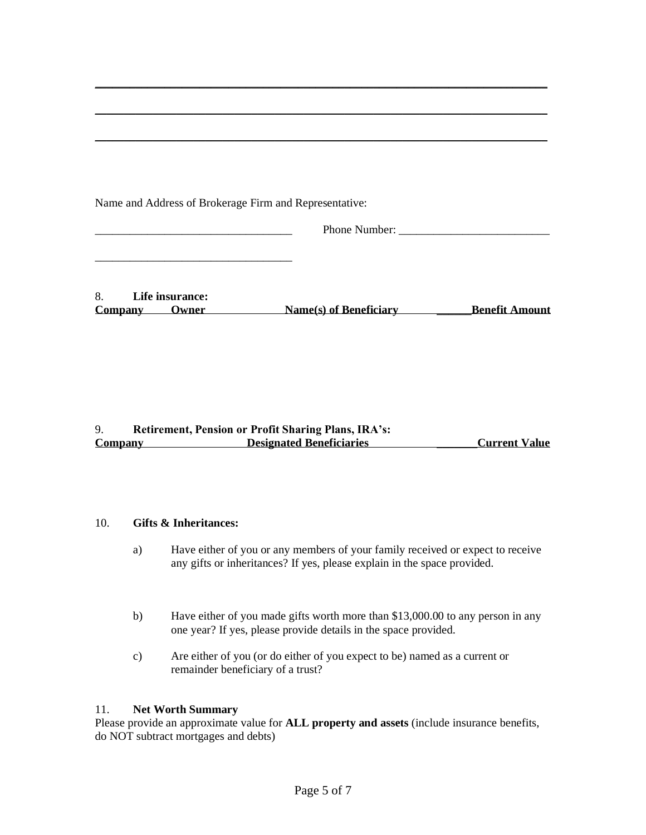|  |  | Name and Address of Brokerage Firm and Representative: |
|--|--|--------------------------------------------------------|
|  |  |                                                        |

\_\_\_\_\_\_\_\_\_\_\_\_\_\_\_\_\_\_\_\_\_\_\_\_\_\_\_\_\_\_\_\_\_\_

Phone Number:

|         | Life insurance: |                        |                       |
|---------|-----------------|------------------------|-----------------------|
| Company | Owner)          | Name(s) of Beneficiary | <b>Benefit Amount</b> |

**\_\_\_\_\_\_\_\_\_\_\_\_\_\_\_\_\_\_\_\_\_\_\_\_\_\_\_\_\_\_\_\_\_\_\_\_\_\_\_\_\_\_\_\_\_\_\_\_\_\_\_\_\_\_\_\_\_\_\_\_\_\_\_\_\_\_\_\_\_\_\_\_\_\_\_\_\_\_**

**\_\_\_\_\_\_\_\_\_\_\_\_\_\_\_\_\_\_\_\_\_\_\_\_\_\_\_\_\_\_\_\_\_\_\_\_\_\_\_\_\_\_\_\_\_\_\_\_\_\_\_\_\_\_\_\_\_\_\_\_\_\_\_\_\_\_\_\_\_\_\_\_\_\_\_\_\_\_**

**\_\_\_\_\_\_\_\_\_\_\_\_\_\_\_\_\_\_\_\_\_\_\_\_\_\_\_\_\_\_\_\_\_\_\_\_\_\_\_\_\_\_\_\_\_\_\_\_\_\_\_\_\_\_\_\_\_\_\_\_\_\_\_\_\_\_\_\_\_\_\_\_\_\_\_\_\_\_**

## 9. **Retirement, Pension or Profit Sharing Plans, IRA's: Company Designated Beneficiaries \_\_\_\_\_\_\_Current Value**

## 10. **Gifts & Inheritances:**

- a) Have either of you or any members of your family received or expect to receive any gifts or inheritances? If yes, please explain in the space provided.
- b) Have either of you made gifts worth more than \$13,000.00 to any person in any one year? If yes, please provide details in the space provided.
- c) Are either of you (or do either of you expect to be) named as a current or remainder beneficiary of a trust?

#### 11. **Net Worth Summary**

Please provide an approximate value for **ALL property and assets** (include insurance benefits, do NOT subtract mortgages and debts)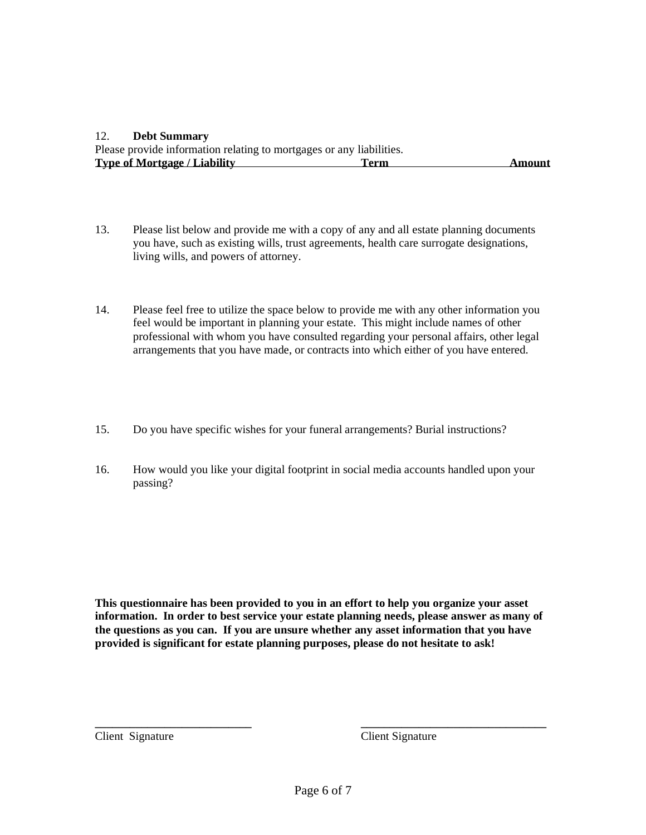#### 12. **Debt Summary**

Please provide information relating to mortgages or any liabilities.<br>Type of Mortgage / Liability Term **Type of Mortgage / Liability <b>Term Term Amount** 

- 13. Please list below and provide me with a copy of any and all estate planning documents you have, such as existing wills, trust agreements, health care surrogate designations, living wills, and powers of attorney.
- 14. Please feel free to utilize the space below to provide me with any other information you feel would be important in planning your estate. This might include names of other professional with whom you have consulted regarding your personal affairs, other legal arrangements that you have made, or contracts into which either of you have entered.
- 15. Do you have specific wishes for your funeral arrangements? Burial instructions?
- 16. How would you like your digital footprint in social media accounts handled upon your passing?

**This questionnaire has been provided to you in an effort to help you organize your asset information. In order to best service your estate planning needs, please answer as many of the questions as you can. If you are unsure whether any asset information that you have provided is significant for estate planning purposes, please do not hesitate to ask!** 

Client Signature Client Signature

**\_\_\_\_\_\_\_\_\_\_\_\_\_\_\_\_\_\_\_\_\_\_\_\_\_\_\_ \_\_\_\_\_\_\_\_\_\_\_\_\_\_\_\_\_\_\_\_\_\_\_\_\_\_\_\_\_\_\_\_**